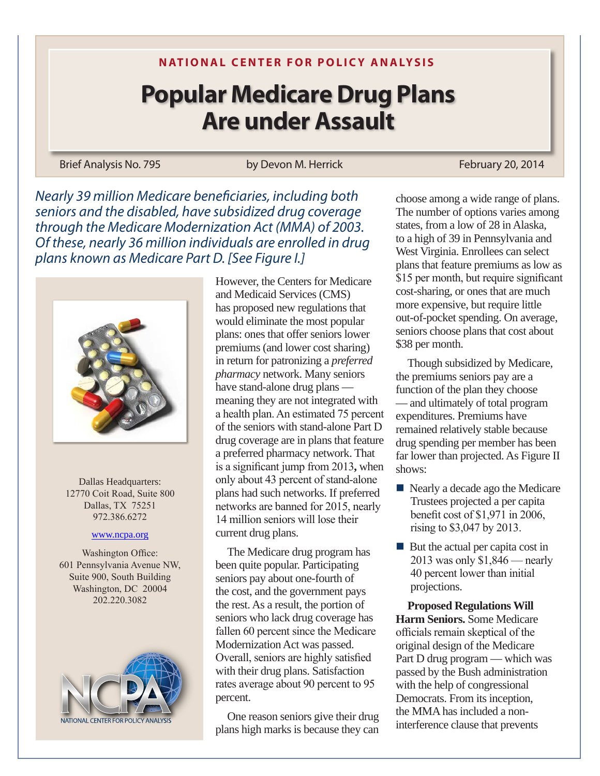## **N ATIONAL CENTER FOR POLICY ANALYSIS**

## **Popular Medicare Drug Plans Are under Assault**

Brief Analysis No. 795 by Devon M. Herrick February 20, 2014

*Nearly 39 million Medicare beneficiaries, including both seniors and the disabled, have subsidized drug coverage through the Medicare Modernization Act (MMA) of 2003. Of these, nearly 36 million individuals are enrolled in drug plans known as Medicare Part D. [See Figure I.]*



Dallas Headquarters: 12770 Coit Road, Suite 800 Dallas, TX 75251 972.386.6272

## www.ncpa.org

Washington Office: 601 Pennsylvania Avenue NW, Suite 900, South Building Washington, DC 20004 202.220.3082



However, the Centers for Medicare and Medicaid Services (CMS) has proposed new regulations that would eliminate the most popular plans: ones that offer seniors lower premiums (and lower cost sharing) in return for patronizing a *preferred pharmacy* network. Many seniors have stand-alone drug plans meaning they are not integrated with a health plan. An estimated 75 percent of the seniors with stand-alone Part D drug coverage are in plans that feature a preferred pharmacy network. That is a significant jump from 2013**,** when only about 43 percent of stand-alone plans had such networks. If preferred networks are banned for 2015, nearly 14 million seniors will lose their current drug plans.

The Medicare drug program has been quite popular. Participating seniors pay about one-fourth of the cost, and the government pays the rest. As a result, the portion of seniors who lack drug coverage has fallen 60 percent since the Medicare Modernization Act was passed. Overall, seniors are highly satisfied with their drug plans. Satisfaction rates average about 90 percent to 95 percent.

One reason seniors give their drug plans high marks is because they can

choose among a wide range of plans. The number of options varies among states, from a low of 28 in Alaska, to a high of 39 in Pennsylvania and West Virginia. Enrollees can select plans that feature premiums as low as \$15 per month, but require significant cost-sharing, or ones that are much more expensive, but require little out-of-pocket spending. On average, seniors choose plans that cost about \$38 per month.

Though subsidized by Medicare, the premiums seniors pay are a function of the plan they choose — and ultimately of total program expenditures. Premiums have remained relatively stable because drug spending per member has been far lower than projected. As Figure II shows:

- $\blacksquare$  Nearly a decade ago the Medicare Trustees projected a per capita benefit cost of \$1,971 in 2006, rising to \$3,047 by 2013.
- $\blacksquare$  But the actual per capita cost in 2013 was only \$1,846 — nearly 40 percent lower than initial projections.

**Proposed Regulations Will Harm Seniors.** Some Medicare officials remain skeptical of the original design of the Medicare Part D drug program — which was passed by the Bush administration with the help of congressional Democrats. From its inception, the MMA has included a noninterference clause that prevents